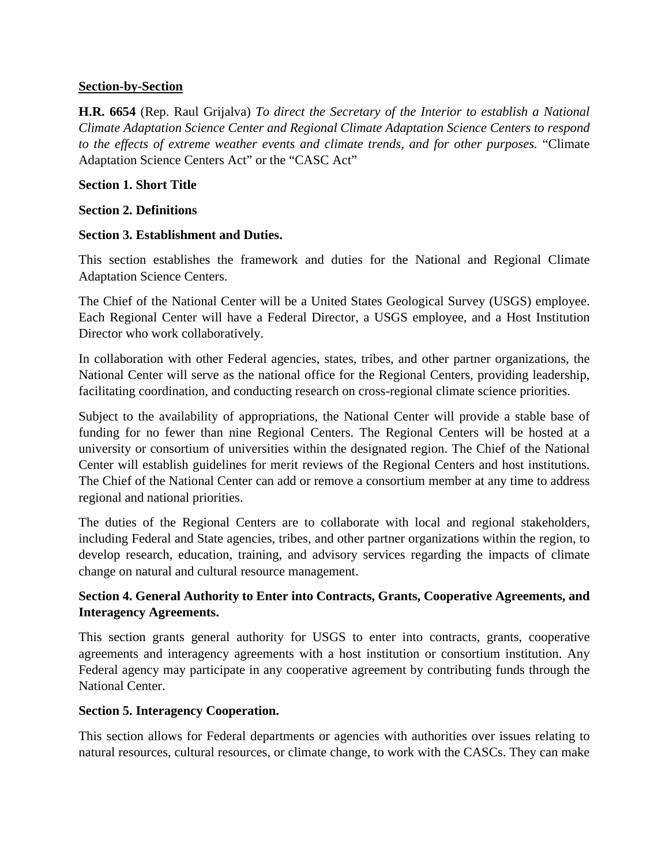### **Section-by-Section**

**H.R. 6654** (Rep. Raul Grijalva) *To direct the Secretary of the Interior to establish a National Climate Adaptation Science Center and Regional Climate Adaptation Science Centers to respond to the effects of extreme weather events and climate trends, and for other purposes.* "Climate Adaptation Science Centers Act" or the "CASC Act"

### **Section 1. Short Title**

### **Section 2. Definitions**

### **Section 3. Establishment and Duties.**

This section establishes the framework and duties for the National and Regional Climate Adaptation Science Centers.

The Chief of the National Center will be a United States Geological Survey (USGS) employee. Each Regional Center will have a Federal Director, a USGS employee, and a Host Institution Director who work collaboratively.

In collaboration with other Federal agencies, states, tribes, and other partner organizations, the National Center will serve as the national office for the Regional Centers, providing leadership, facilitating coordination, and conducting research on cross-regional climate science priorities.

Subject to the availability of appropriations, the National Center will provide a stable base of funding for no fewer than nine Regional Centers. The Regional Centers will be hosted at a university or consortium of universities within the designated region. The Chief of the National Center will establish guidelines for merit reviews of the Regional Centers and host institutions. The Chief of the National Center can add or remove a consortium member at any time to address regional and national priorities.

The duties of the Regional Centers are to collaborate with local and regional stakeholders, including Federal and State agencies, tribes, and other partner organizations within the region, to develop research, education, training, and advisory services regarding the impacts of climate change on natural and cultural resource management.

# **Section 4. General Authority to Enter into Contracts, Grants, Cooperative Agreements, and Interagency Agreements.**

This section grants general authority for USGS to enter into contracts, grants, cooperative agreements and interagency agreements with a host institution or consortium institution. Any Federal agency may participate in any cooperative agreement by contributing funds through the National Center.

## **Section 5. Interagency Cooperation.**

This section allows for Federal departments or agencies with authorities over issues relating to natural resources, cultural resources, or climate change, to work with the CASCs. They can make